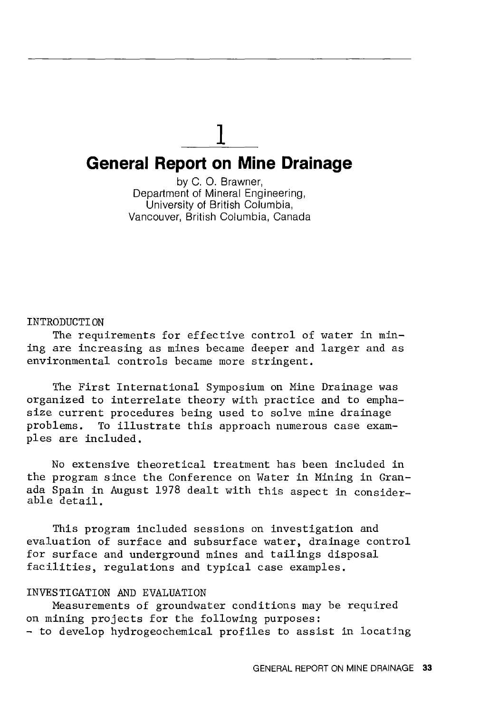# 1 **General Report on Mine Drainage**

by C. 0. Brawner, Department of Mineral Engineering, University of British Columbia, Vancouver, British Columbia, Canada

#### INTRODUCTION

The requirements for effective control of water in mining are increasing as mines became deeper and larger and as environmental controls became more stringent.

The First International Symposium on Mine Drainage was organized to interrelate theory with practice and to emphasize current procedures being used to solve mine drainage problems. To illustrate this approach numerous case examples are included,

No extensive theoretical treatment has been included in the program since the Conference on Water in Mining in Granada Spain in August 1978 dealt with this aspect in considerable detail.

This program included sessions on investigation and evaluation of surface and subsurface water, drainage control for surface and underground mines and tailings disposal facilities, regulations and typical case examples.

## INVESTIGATION AND EVALUATION

Measurements of groundwater conditions may be required on mining projects for the following purposes: - to develop hydrogeochemical profiles to assist in locating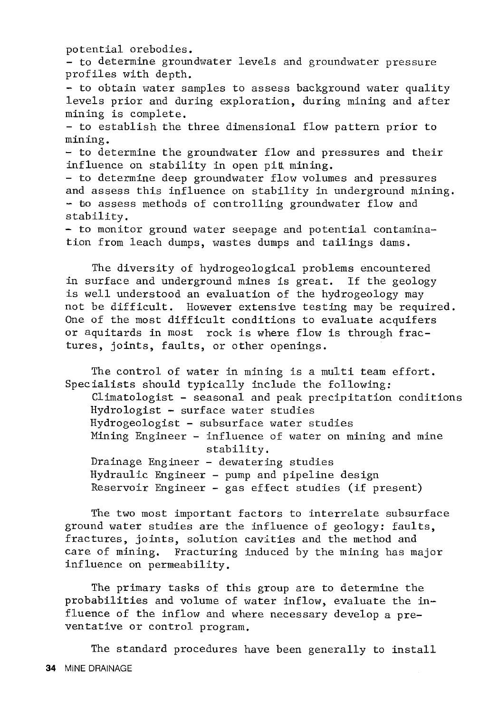potential orebodies.

- to determine groundwater levels and groundwater pressure profiles with depth.

- to obtain water samples to assess background water quality levels prior and during exploration, during mining and after mining is complete.

- to establish the three dimensional flow pattern prior to mining.

- to determine the groundwater flow and pressures and their influence on stability in open pit mining.

- to determine deep groundwater flow volumes and pressures and assess this influence on stability in underground mining. - to assess methods of controlling groundwater flow and stability.

- to monitor ground water seepage and potential contamination from leach dumps, wastes dumps and tailings dams.

The diversity of hydrogeological problems encountered in surface and underground mines is great. If the geology is well understood an evaluation of the hydrogeology may not be difficult. However extensive testing may be required. One of the most difficult conditions to evaluate acquifers or aquitards in most rock is where flow is through fractures, joints, faults, or other openings.

The control of water in mining is a multi team effort. Specialists should typically include the following: Climatologist - seasonal and peak precipitation conditions Hydrologist - surface water studies Hydrogeologist - subsurface water studies Mining Engineer - influence of water on mining and mine stability. Drainage Engineer - dewatering studies Hydraulic Engineer - pump and pipeline design Reservoir Engineer - gas effect studies (if present)

The two most important factors to interrelate subsurface ground water studies are the influence of geology: faults, fractures, joints, solution cavities and the method and care of mining. Fracturing induced by the mining has major influence on permeability.

The primary tasks of this group are to determine the probabilities and volume of water inflow, evaluate the influence of the inflow and where necessary develop a preventative or control program.

The standard procedures have been generally to install 34 MINE DRAINAGE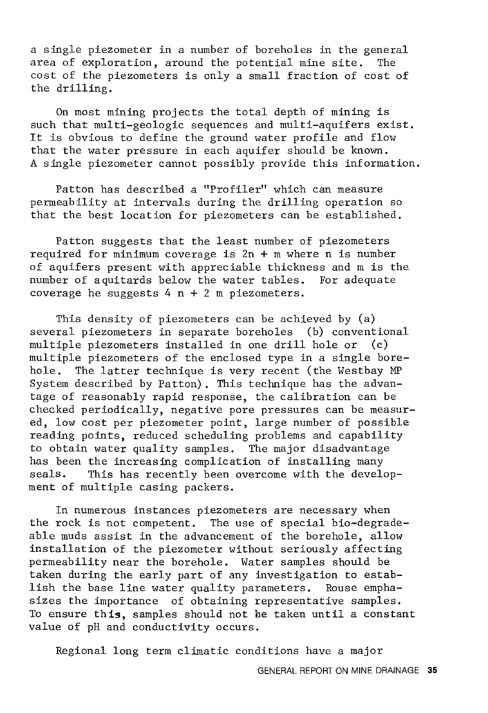a single piezometer in a number of boreholes in the general area of exploration, around the potential mine site. The cost of the piezometers is only a small fraction of cost of the drilling.

On most mining projects the total depth of mining is such that multi-geologic sequences and multi-aquifers exist. It is obvious to define the ground water profile and flow that the water pressure in each aquifer should be known. A single piezometer cannot possibly provide this information.

Patton has described a "Profiler" which can measure permeability at intervals during the drilling operation so that the best location for piezometers can be established.

Patton suggests that the least number of piezometers required for minimum coverage is 2n + m where n is number of aquifers present with appreciable thickness and m is the number of aquitards below the water tables. For adequate coverage he suggests  $4 n + 2 m$  piezometers.

This density of piezometers can be achieved by (a) several piezometers in separate boreholes (b) conventional multiple piezometers installed in one drill hole or (c) multiple piezometers of the enclosed type in a single borehole. The latter technique is very recent (the Westbay MP System described by Patton). This technique has the advantage of reasonably rapid response, the calibration can be checked periodically, negative pore pressures can be measured, low cost per piezometer point, large number of possible reading points, reduced scheduling problems and capability to obtain water quality samples. The major disadvantage has been the increasing complication of installing many seals. This has recently been overcome with the development of multiple casing packers.

In numerous instances piezometers are necessary when the rock is not competent. The use of special bio-degradeable muds assist in the advancement of the borehole, allow installation of the piezometer without seriously affecting permeability near the borehole. Water samples should be taken during the early part of any investigation to establish the base line water quality parameters. Rouse emphasizes the importance of obtaining representative samples. To ensure **this,** samples should not be taken until a constant value of pH and conductivity occurs.

Regional long term climatic conditions have a major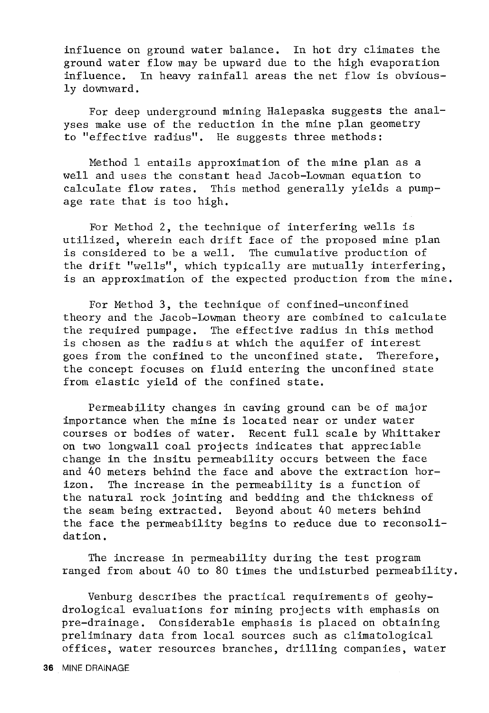influence on ground water balance. In hot dry climates the ground water flow may be upward due to the high evaporation influence. In heavy rainfall areas the net flow is obviously downward.

For deep underground mining Halepaska suggests the analyses make use of the reduction in the mine plan geometry to "effective radius". He suggests three methods:

Method 1 entails approximation of the mine plan as a well and uses the constant head Jacob-Lowman equation to calculate flow rates. This method generally yields a pumpage rate that is too high.

For Method 2, the technique of interfering wells is utilized, wherein each drift face of the proposed mine plan is considered to be a well. The cumulative production of the drift "wells", which typically are mutually interfering, is an approximation of the expected production from the mine.

For Method 3, the technique of confined-unconfined theory and the Jacob-Lowman theory are combined to calculate the required pumpage. The effective radius in this method is chosen as the radius at which the aquifer of interest goes from the confined to the unconfined state. Therefore, goes from the confined to the unconfined state. the concept focuses on fluid entering the unconfined state from elastic yield of the confined state.

Permeability changes in caving ground can be of major importance when the mine is located near or under water courses or bodies of water. Recent full scale by Whittaker on two longwall coal projects indicates that appreciable change in the insitu permeability occurs between the face and 40 meters behind the face and above the extraction horizon. The increase in the permeability is a function of the natural rock jointing and bedding and the thickness of the seam being extracted. Beyond about 40 meters behind the face the permeability begins to reduce due to reconsolidation.

The increase in permeability during the test program ranged from about 40 to 80 times the undisturbed permeability.

Venburg describes the practical requirements of geohydrological evaluations for mining projects with emphasis on pre-drainage. Considerable emphasis is placed on obtaining preliminary data from local sources such as climatological offices, water resources branches, drilling companies, water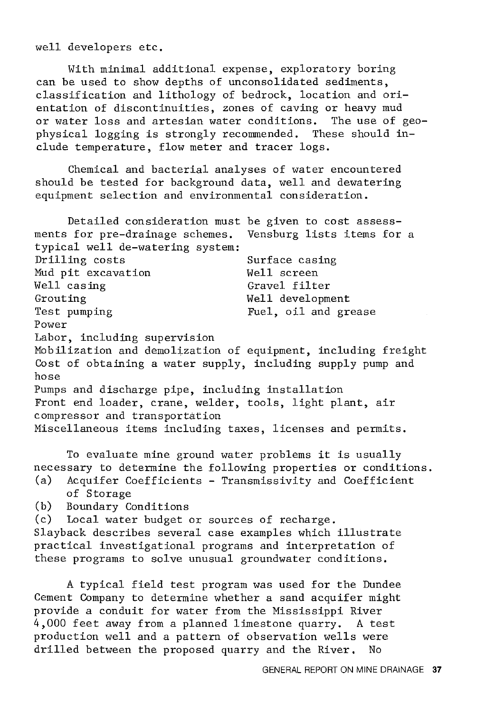well developers etc.

With minimal additional expense, exploratory boring can be used to show depths of unconsolidated sediments, classification and lithology of bedrock, location and orientation of discontinuities, zones of caving or heavy mud or water loss and artesian water conditions. The use of geophysical logging is strongly recommended. These should include temperature, flow meter and tracer logs.

Chemical and bacterial analyses of water encountered should be tested for background data, well and dewatering equipment selection and environmental consideration.

Detailed consideration must be given to cost assess-<br>for pre-drainage schemes. Vensburg lists items for a ments for pre-drainage schemes. typical well de-watering system: Drilling costs Mud pit excavation Well casing Grouting Test pumping Power Labor, including supervision Surface casing Well screen Gravel filter Well development Fuel, oil and grease Mobilization and demolization of equipment, including freight Cost of obtaining a water supply, including supply pump and hose Pumps and discharge pipe, including installation Front end loader, crane, welder, tools, light plant, air compressor and transportation Miscellaneous items including taxes, licenses and permits.

To evaluate mine ground water problems it is usually necessary to determine the following properties or conditions.

- (a) Acquifer Coefficients Transmissivity and Coefficient of Storage
- (b) Boundary Conditions

(c) Local water budget or sources of recharge.

Slayback describes several case examples which illustrate practical investigational programs and interpretation of these programs to solve unusual groundwater conditions.

A typical field test program was used for the Dundee Cement Company to determine whether a sand acquifer might provide a conduit for water from the Mississippi River 4,000 feet away from a planned limestone quarry. A test production well and a pattern of observation wells were drilled between the proposed quarry and the River. No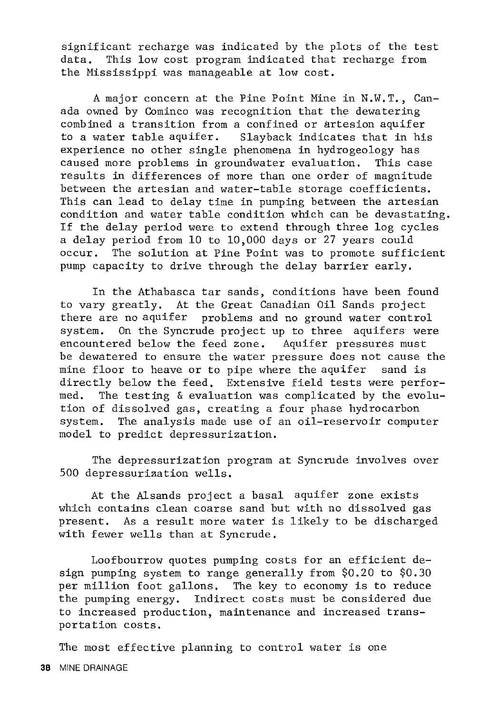significant recharge was indicated by the plots of the test data. This low cost program indicated that recharge from the Mississippi was manageable at low cost.

A major concern at the Pine Point Mine in N.W.T., Canada owned by Cominco was recognition that the dewatering combined a transition from a confined or artesion aquifer to a water table aquifer. Slayback indicates that in his experience no other single phenomena in hydrogeology has caused more problems in groundwater evaluation. This case results in differences of more than one order of magnitude between the artesian and water-table storage coefficients. This can lead to delay time in pumping between the artesian condition and water table condition which can be devastating. If the delay period ware to extend through three log cycles a delay period from 10 to 10,000 days or 27 years could occur. The solution at Pine Point was to promote sufficient pump capacity to drive through the delay barrier early.

In the Athabasca tar sands, conditions have been found to vary greatly. At the Great Canadian Oil Sands project there are no aquifer problems and no ground water control system. On the Syncrude project up to three aquifers were encountered below the feed zone. Aquifer pressures must be dewatered to ensure the water pressure does not cause the mine floor to heave or to pipe where the aquifer sand is directly below the feed. Extensive field tests were performed. The testing & evaluation was complicated by the evolution of dissolved gas, creating a four phase hydrocarbon system. The analysis made use of an oil-reservoir computer model to predict depressurization.

The depressurization program at Syncrude involves over 500 depressuriaation wells.

At the Alsands project a basal aquifer zone exists which contains clean coarse sand but with no dissolved gas present. As a result more water is likely to be discharged with fewer wells than at Syncrude.

Loofbourrow quotes pumping costs for an efficient design pumping system to range generally from \$0.20 to \$0.30 per million foot gallons. The key to economy is to reduce the pumping energy. Indirect costs must be considered due to increased production, maintenance and increased transportation costs.

The most effective planning to control water is one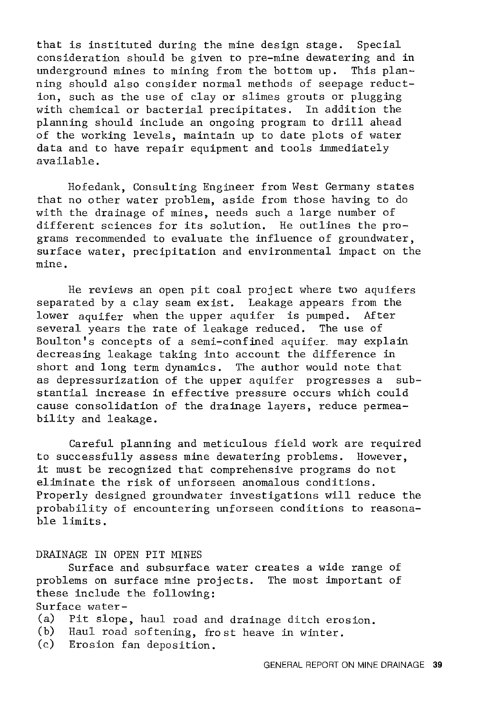that is instituted during the mine design stage. Special consideration should be given to pre-mine dewatering and in underground mines to mining from the bottom up. ning should also consider normal methods of seepage reduction, such as the use of clay or slimes grouts or plugging with chemical or bacterial precipitates. In addition the planning should include an ongoing program to drill ahead of the working levels, maintain up to date plots of water data and to have repair equipment and tools immediately available.

Hofedank, Consulting Engineer from West Germany states that no other water problem, aside from those having to do with the drainage of mines, needs such a large number of different sciences for its solution. He outlines the programs recommended to evaluate the influence of groundwater, surface water, precipitation and environmental impact on the mine.

He reviews an open pit coal project where two aquifers separated by a clay seam exist. Leakage appears from the lower aquifer when the upper aquifer is pumped. After several years the rate of leakage reduced. The use of Boulton's concepts of a semi-confined aquifer. may explain decreasing leakage taking into account the difference in short and long term dynamics. The author would note that as depressurization of the upper aquifer progresses a substantial increase in effective pressure occurs which could cause consolidation of the drainage layers, reduce permeability and leakage.

Careful planning and meticulous field work are required to successfully assess mine dewatering problems. However, it must be recognized that comprehensive programs do not eliminate the risk of unforseen anomalous conditions. Properly designed groundwater investigations will reduce the probability of encountering unforseen conditions to reasonable limits.

#### DRAINAGE IN OPEN PIT MINES

Surface and subsurface water creates a wide range of problems on surface mine projects. The most important of these include the following: Surface water-

- (a) Pit slope, haul road and drainage ditch erosion.<br>(b) Haul road softening, frost heave in winter.
- Haul road softening, frost heave in winter.
- (c) Erosion fan deposition.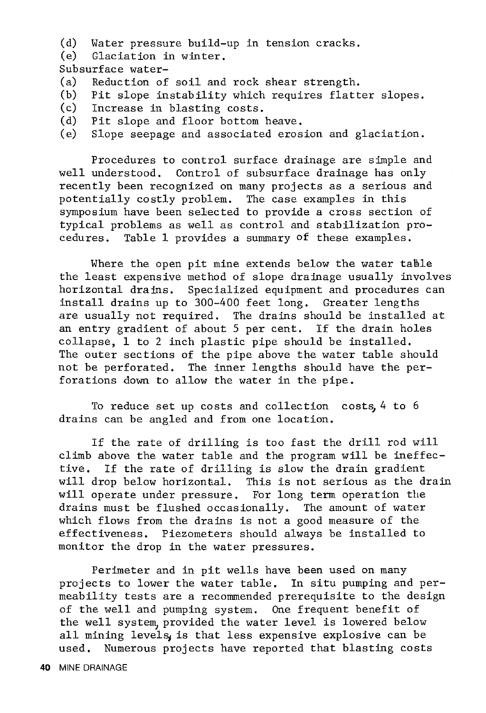- (d) Water pressure build-up in tension cracks.
- Glaciation in winter.

Subsurface water-

- (a) Reduction of soil and rock shear strength.<br>(b) Pit slope instability which requires flatt
- (b) Pit slope instability which requires flatter slopes.<br>(c) Increase in blasting costs.
- Increase in blasting costs.
- (d) Pit slope and floor bottom heave.<br>(e) Slope seepage and associated eros
- Slope seepage and associated erosion and glaciation.

Procedures to control surface drainage are simple and well understood. Control of subsurface drainage has only recently been recognized on many projects as a serious and potentially costly problem. The case examples in this symposium have been selected to provide a cross section of typical problems as well as control and stabilization procedures. Table 1 provides a summary of these examples.

Where the open pit mine extends below the water table the least expensive method of slope drainage usually involves horizontal drains. Specialized equipment and procedures can install drains up to 300-400 feet long. Greater lengths are usually not required. The drains should be installed at an entry gradient of about 5 per cent. If the drain holes collapse, 1 to 2 inch plastic pipe should be installed. The outer sections of the pipe above the water table should not be perforated. The inner lengths should have the perforations down to allow the water in the pipe.

To reduce set up costs and collection costs,  $4$  to  $6$ drains can be angled and from one location.

If the rate of drilling is too fast the drill rod will climb above the water table and the program will be ineffective. If the rate of drilling is slow the drain gradient will drop below horizontal. This is not serious as the drain will operate under pressure. For long term operation the drains must be flushed occasionally. The amount of water which flows from the drains is not a good measure of the effectiveness. Piezometers should always be installed to monitor the drop in the water pressures.

Perimeter and in pit wells have been used on many projects to lower the water table. In situ pumping and permeability tests are a recommended prerequisite to the design of the well and pumping system. One frequent benefit of the well system provided the water level is lowered below all mining levels, is that less expensive explosive can be used. Numerous projects have reported that blasting costs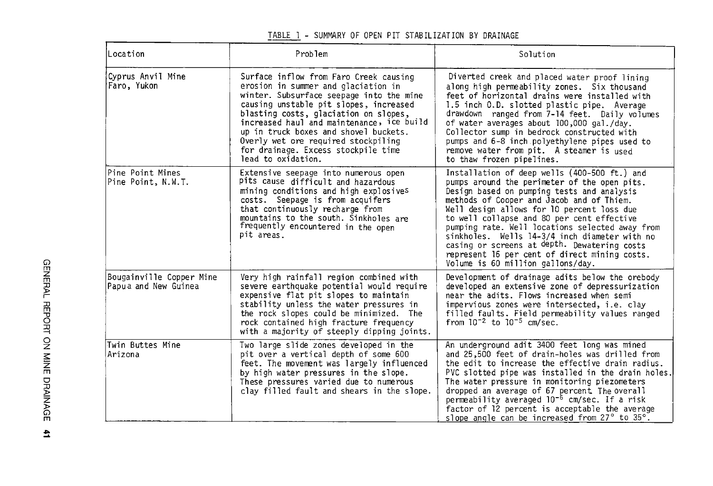| Location                                         | Problem                                                                                                                                                                                                                                                                                                                                                                                                | Solution                                                                                                                                                                                                                                                                                                                                                                                                                                                                                                                      |
|--------------------------------------------------|--------------------------------------------------------------------------------------------------------------------------------------------------------------------------------------------------------------------------------------------------------------------------------------------------------------------------------------------------------------------------------------------------------|-------------------------------------------------------------------------------------------------------------------------------------------------------------------------------------------------------------------------------------------------------------------------------------------------------------------------------------------------------------------------------------------------------------------------------------------------------------------------------------------------------------------------------|
| Cyprus Anvil Mine<br>Faro, Yukon                 | Surface inflow from Faro Creek causing<br>erosion in summer and glaciation in<br>winter. Subsurface seepage into the mine<br>causing unstable pit slopes, increased<br>blasting costs, glaciation on slopes,<br>increased haul and maintenance, ice build<br>up in truck boxes and shovel buckets.<br>Overly wet ore required stockpiling<br>for drainage. Excess stockpile time<br>lead to oxidation. | Diverted creek and placed water proof lining<br>along high permeability zones. Six thousand<br>feet of horizontal drains were installed with<br>1.5 inch O.D. slotted plastic pipe. Average<br>drawdown ranged from 7-14 feet. Daily volumes<br>of water averages about 100,000 gal./day.<br>Collector sump in bedrock constructed with<br>pumps and 6-8 inch polyethylene pipes used to<br>remove water from pit. A steamer is used<br>to thaw frozen pipelines.                                                             |
| Pine Point Mines<br>Pine Point, N.W.T.           | Extensive seepage into numerous open<br>pits cause difficult and hazardous<br>mining conditions and high explosives<br>costs. Seepage is from acquifers<br>that continuously recharge from<br>mountains to the south. Sinkholes are<br>frequently encountered in the open<br>pit areas.                                                                                                                | Installation of deep wells (400-500 ft.) and<br>pumps around the perimeter of the open pits.<br>Design based on pumping tests and analysis<br>methods of Cooper and Jacob and of Thiem.<br>Well design allows for 10 percent loss due<br>to well collapse and 80 per cent effective<br>pumping rate. Well locations selected away from<br>sinkholes. Wells 14-3/4 inch diameter with no<br>casing or screens at depth. Dewatering costs<br>represent 16 per cent of direct mining costs.<br>Volume is 60 million gallons/day. |
| Bougainville Copper Mine<br>Papua and New Guinea | Very high rainfall region combined with<br>severe earthquake potential would require<br>expensive flat pit slopes to maintain<br>stability unless the water pressures in<br>the rock slopes could be minimized. The<br>rock contained high fracture frequency<br>with a majority of steeply dipping joints.                                                                                            | Development of drainage adits below the orebody<br>developed an extensive zone of depressurization<br>near the adits. Flows increased when semi<br>impervious zones were intersected, i.e. clay<br>filled faults. Field permeability values ranged<br>from $10^{-2}$ to $10^{-5}$ cm/sec.                                                                                                                                                                                                                                     |
| Twin Buttes Mine<br>Arizona                      | Two large slide zones developed in the<br>pit over a vertical depth of some 600<br>feet. The movement was largely influenced<br>by high water pressures in the slope.<br>These pressures varied due to numerous<br>clay filled fault and shears in the slope.                                                                                                                                          | An underground adit 3400 feet long was mined<br>and 25,500 feet of drain-holes was drilled from<br>the edit to increase the effective drain radius.<br>PVC slotted pipe was installed in the drain holes.<br>The water pressure in monitoring piezometers<br>dropped an average of 67 percent. The overall<br>permeability averaged 10 <sup>-6</sup> cm/sec. If a risk<br>factor of 12 percent is acceptable the average<br>slope angle can be increased from 27° to 35°.                                                     |

TABLE 1 - SUMMARY OF OPEN PIT STABILIZATION BY DRAINAGE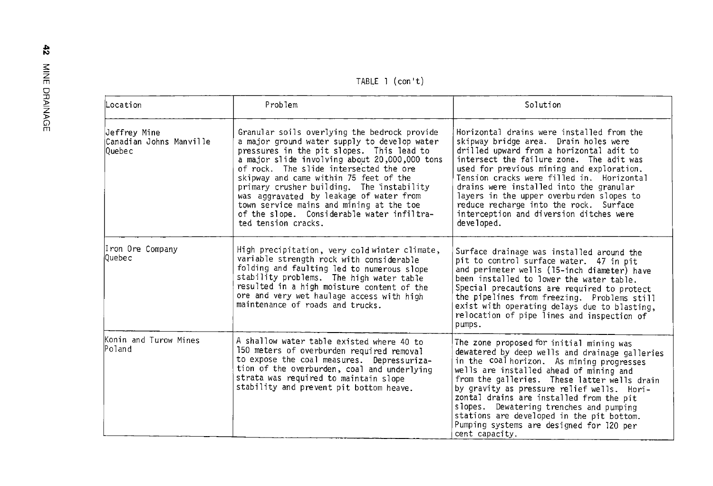TABLE 1 (con't)

| Location                                            | Problem                                                                                                                                                                                                                                                                                                                                                                                                                                                                                 | Solution                                                                                                                                                                                                                                                                                                                                                                                                                                                                           |
|-----------------------------------------------------|-----------------------------------------------------------------------------------------------------------------------------------------------------------------------------------------------------------------------------------------------------------------------------------------------------------------------------------------------------------------------------------------------------------------------------------------------------------------------------------------|------------------------------------------------------------------------------------------------------------------------------------------------------------------------------------------------------------------------------------------------------------------------------------------------------------------------------------------------------------------------------------------------------------------------------------------------------------------------------------|
| Jeffrey Mine<br> Canadian Johns Manville<br>l0uebec | Granular soils overlying the bedrock provide<br>a major ground water supply to develop water<br>pressures in the pit slopes. This lead to<br>a major slide involving about 20,000,000 tons<br>of rock. The slide intersected the ore<br>skipway and came within 75 feet of the<br>primary crusher building. The instability<br>was aggravated by leakage of water from<br>town service mains and mining at the toe<br>of the slope. Considerable water infiltra-<br>ted tension cracks. | Horizontal drains were installed from the<br>skipway bridge area. Drain holes were<br>drilled upward from a horizontal adit to<br>intersect the failure zone. The adit was<br>used for previous mining and exploration.<br>Tension cracks were filled in. Horizontal<br>drains were installed into the granular<br>layers in the upper overburden slopes to<br>reduce recharge into the rock. Surface<br>interception and diversion ditches were<br>developed.                     |
| Iron Ore Company<br>l0uebec                         | High precipitation, very cold winter climate,<br>variable strength rock with considerable<br>folding and faulting led to numerous slope<br>stability problems. The high water table<br>resulted in a high moisture content of the<br>ore and very wet haulage access with high<br>maintenance of roads and trucks.                                                                                                                                                                      | Surface drainage was installed around the<br>pit to control surface water. 47 in pit<br>and perimeter wells (15-inch diameter) have<br>been installed to lower the water table.<br>Special precautions are required to protect<br>the pipelines from freezing. Problems still<br>exist with operating delays due to blasting,<br>relocation of pipe lines and inspection of<br>pumps.                                                                                              |
| Konin and Turow Mines<br>Poland                     | A shallow water table existed where 40 to<br>150 meters of overburden required removal<br>to expose the coal measures. Depressuriza-<br>tion of the overburden, coal and underlying<br>strata was required to maintain slope<br>stability and prevent pit bottom heave.                                                                                                                                                                                                                 | The zone proposed for initial mining was<br>dewatered by deep wells and drainage galleries<br>in the coal horizon. As mining progresses<br>wells are installed ahead of mining and<br>from the galleries. These latter wells drain<br>by gravity as pressure relief wells. Hori-<br>zontal drains are installed from the pit<br>slopes. Dewatering trenches and pumping<br>stations are developed in the pit bottom.<br>Pumping systems are designed for 120 per<br>cent capacity. |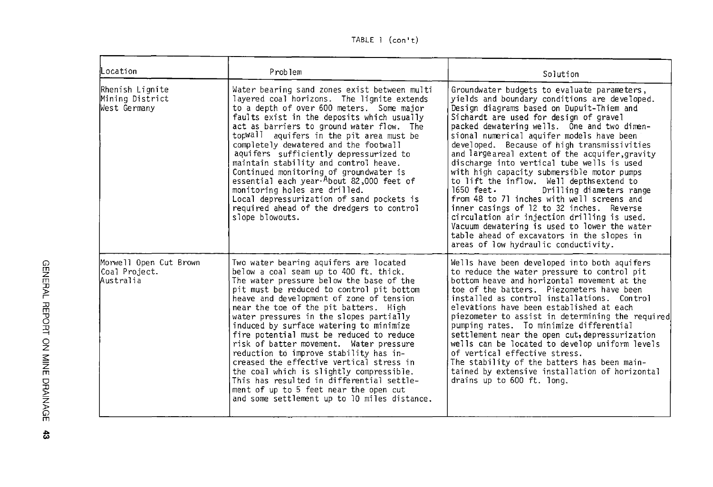TABLE l (con't)

| Location                                             | Problem                                                                                                                                                                                                                                                                                                                                                                                                                                                                                                                                                                                                                                                                                                              | Solution                                                                                                                                                                                                                                                                                                                                                                                                                                                                                                                                                                                                                                                                                                                                                                                                                                             |
|------------------------------------------------------|----------------------------------------------------------------------------------------------------------------------------------------------------------------------------------------------------------------------------------------------------------------------------------------------------------------------------------------------------------------------------------------------------------------------------------------------------------------------------------------------------------------------------------------------------------------------------------------------------------------------------------------------------------------------------------------------------------------------|------------------------------------------------------------------------------------------------------------------------------------------------------------------------------------------------------------------------------------------------------------------------------------------------------------------------------------------------------------------------------------------------------------------------------------------------------------------------------------------------------------------------------------------------------------------------------------------------------------------------------------------------------------------------------------------------------------------------------------------------------------------------------------------------------------------------------------------------------|
| Rhenish Lignite<br>Mining District<br>West Germany   | Water bearing sand zones exist between multi<br>layered coal horizons. The lignite extends<br>to a depth of over 600 meters. Some major<br>faults exist in the deposits which usually<br>act as barriers to ground water flow. The<br>topWall aquifers in the pit area must be<br>completely dewatered and the footwall<br>aquifers sufficiently depressurized to<br>maintain stability and control heave.<br>Continued monitoring of groundwater is<br>essential each year-About 82,000 feet of<br>monitoring holes are drilled.<br>Local depressurization of sand pockets is<br>required ahead of the dredgers to control<br>slope blowouts.                                                                       | Groundwater budgets to evaluate parameters,<br>yields and boundary conditions are developed.<br>Design diagrams based on Dupuit-Thiem and<br>Sichardt are used for design of gravel<br>packed dewatering wells. One and two dimen-<br>sional numerical aquifer models have been<br>developed. Because of high transmissivities<br>and large areal extent of the acquifer, gravity<br>discharge into vertical tube wells is used<br>with high capacity submersible motor pumps<br>to lift the inflow. Well depths extend to<br>1650 feet.<br>Drilling diameters range<br>from 48 to 71 inches with well screens and<br>inner casings of 12 to 32 inches. Reverse<br>circulation air injection drilling is used.<br>Vacuum dewatering is used to lower the water<br>table ahead of excavators in the slopes in<br>areas of low hydraulic conductivity. |
| Morwell Open Cut Brown<br>Coal Project.<br>Australia | Two water bearing aquifers are located<br>below a coal seam up to 400 ft. thick.<br>The water pressure below the base of the<br>pit must be reduced to control pit bottom<br>heave and development of zone of tension<br>near the toe of the pit batters. High<br>water pressures in the slopes partially<br>induced by surface watering to minimize<br>fire potential must be reduced to reduce<br>risk of batter movement. Water pressure<br>reduction to improve stability has in-<br>creased the effective vertical stress in<br>the coal which is slightly compressible.<br>This has resulted in differential settle-<br>ment of up to 5 feet near the open cut<br>and some settlement up to 10 miles distance. | Wells have been developed into both aquifers<br>to reduce the water pressure to control pit<br>bottom heave and horizontal movement at the<br>toe of the batters. Piezometers have been<br>installed as control installations. Control<br>elevations have been established at each<br>piezometer to assist in determining the required<br>pumping rates. To minimize differential<br>settlement near the open cut, depressurization<br>wells can be located to develop uniform levels<br>of vertical effective stress.<br>The stability of the batters has been main-<br>tained by extensive installation of horizontal<br>drains up to 600 ft. long.                                                                                                                                                                                                |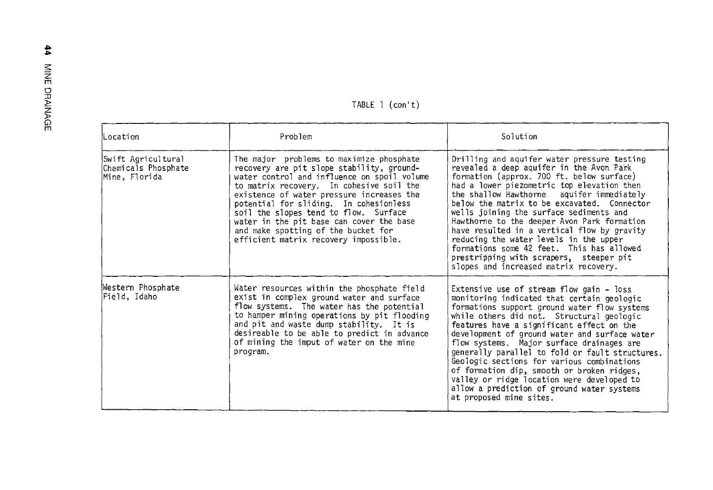| TABLE 1 (con't) |  |  |  |
|-----------------|--|--|--|
|-----------------|--|--|--|

| Location                                                   | Problem                                                                                                                                                                                                                                                                                                                                                                                                                                      | Solution                                                                                                                                                                                                                                                                                                                                                                                                                                                                                                                                                                                             |
|------------------------------------------------------------|----------------------------------------------------------------------------------------------------------------------------------------------------------------------------------------------------------------------------------------------------------------------------------------------------------------------------------------------------------------------------------------------------------------------------------------------|------------------------------------------------------------------------------------------------------------------------------------------------------------------------------------------------------------------------------------------------------------------------------------------------------------------------------------------------------------------------------------------------------------------------------------------------------------------------------------------------------------------------------------------------------------------------------------------------------|
| Swift Agricultural<br>Chemicals Phosphate<br>Mine, Florida | The major problems to maximize phosphate<br>recovery are pit slope stability, ground-<br>water control and influence on spoil volume<br>to matrix recovery. In cohesive soil the<br>existence of water pressure increases the<br>potential for sliding. In cohesionless<br>soil the slopes tend to flow. Surface<br>water in the pit base can cover the base<br>and make spotting of the bucket for<br>efficient matrix recovery impossible. | Drilling and aquifer water pressure testing<br>revealed a deep aquifer in the Avon Park<br>formation (approx. 700 ft. below surface)<br>had a lower piezometric top elevation then<br>the shallow Hawthorne aquifer immediately<br>below the matrix to be excavated. Connector<br>wells joining the surface sediments and<br>Hawthorne to the deeper Avon Park formation<br>have resulted in a vertical flow by gravity<br>reducing the water levels in the upper<br>formations some 42 feet. This has allowed<br>prestripping with scrapers, steeper pit<br>slopes and increased matrix recovery.   |
| Western Phosphate<br>Field, Idaho                          | Water resources within the phosphate field<br>exist in complex ground water and surface<br>flow systems. The water has the potential<br>to hamper mining operations by pit flooding<br>and pit and waste dump stability. It is<br>desireable to be able to predict in advance<br>of mining the imput of water on the mine<br>program.                                                                                                        | Extensive use of stream flow gain - loss<br>monitoring indicated that certain geologic<br>formations support ground water flow systems<br>while others did not. Structural geologic<br>features have a significant effect on the<br>development of ground water and surface water<br>flow systems. Major surface drainages are<br>generally parallel to fold or fault structures.<br>Geologic sections for various combinations<br>of formation dip, smooth or broken ridges,<br>valley or ridge location were developed to<br>allow a prediction of ground water systems<br>at proposed mine sites. |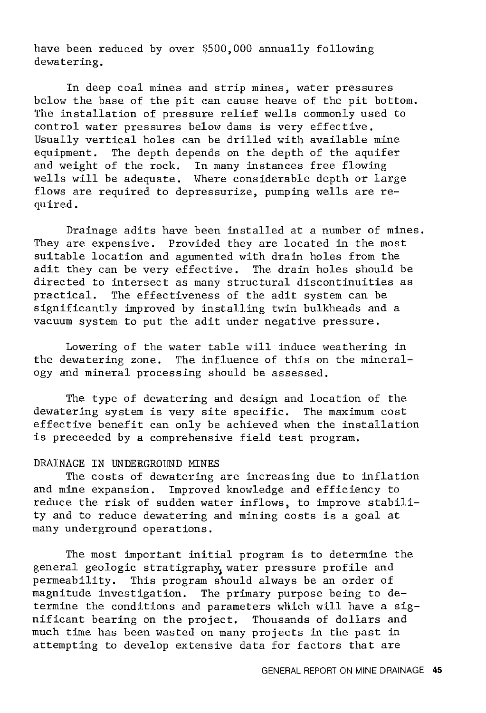have been reduced by over \$500,000 annually following dewatering.

In deep coal mines and strip mines, water pressures below the base of the pit can cause heave of the pit bottom. The installation of pressure relief wells commonly used to control water pressures below dams is very effective. Usually vertical holes can be drilled with available mine equipment. The depth depends on the depth of the aquifer and weight of the rock. In many instances free flowing wells will be adequate. Where considerable depth or large flows are required to depressurize, pumping wells are required.

Drainage adits have been installed at a number of mines. They are expensive. Provided they are located in the most suitable location and agumented with drain holes from the<br>adit they can be very effective. The drain holes should be adit they can be very effective. directed to intersect as many structural discontinuities as practical. The effectiveness of the adit system can be significantly improved by installing twin bulkheads and a vacuum system to put the adit under negative pressure.

Lowering of the water table will induce weathering in the dewatering zone. The influence of this on the mineralogy and mineral processing should be assessed.

The type of dewatering and design and location of the dewatering system is very site specific. The maximum cost effective benefit can only be achieved when the installation is preceeded by a comprehensive field test program.

## DRAINAGE IN UNDERGROUND MINES

The costs of dewatering are increasing due to inflation and mine expansion. Improved knowledge and efficiency to reduce the risk of sudden water inflows, to improve stability and to reduce dewatering and mining costs is a goal at many underground operations.

The most important initial program is to determine the general geologic stratigraphy, water pressure profile and permeability. This program should always be an order of magnitude investigation. The primary purpose being to determine the conditions and parameters which will have a significant bearing on the project. Thousands of dollars and much time has been wasted on many projects in the past in attempting to develop extensive data for factors that are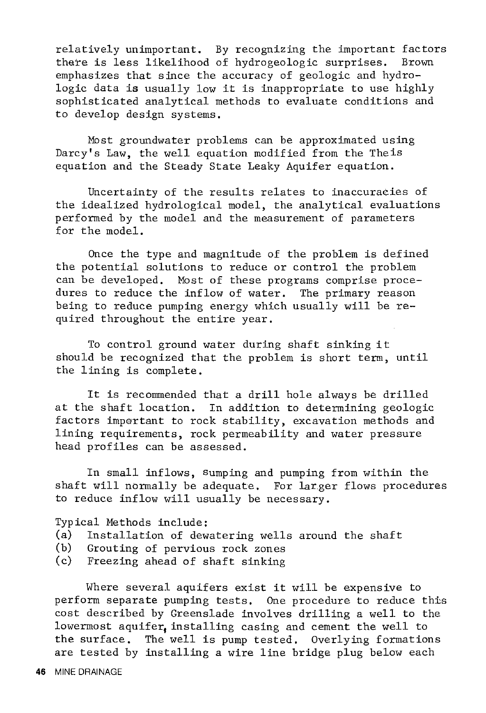relatively unimportant. By recognizing the important factors there is less likelihood of hydrogeologic surprises. Brown emphasizes that since the accuracy of geologic and hydrologic data is usually low it is inappropriate to use highly sophisticated analytical methods to evaluate conditions and to develop design systems.

Most groundwater problems can be approximated using Darcy's Law, the well equation modified from the Theis equation and the Steady State Leaky Aquifer equation.

Uncertainty of the results relates to inaccuraeies of the idealized hydrological model, the analytical evaluations performed by the model and the measurement of parameters for the model.

Once the type and magnitude of the problem is defined the potential solutions to reduce or control the problem can be developed. Most of these programs comprise procedures to reduce the inflow of water. The primary reason being to reduce pumping energy which usually will be required throughout the entire year.

To control ground water during shaft sinking it should be recognized that the problem is short term, until the lining is complete.

It is recommended that a drill hole always be drilled at the shaft location. In addition to determining geologic factors important to rock stability, excavation methods and lining requirements, rock permeability and water pressure head profiles can be assessed.

In small inflows, sumping and pumping from within the shaft will normally be adequate. For larger flows procedures to reduce inflow will usually be necessary.

Typical Methods include:

- (a) Installation of dewatering wells around the shaft
- Grouting of pervious rock zones
- (c) Freezing ahead of shaft sinking

Where several aquifers exist it will be expensive to perform separate pumping tests. One procedure to reduce this cost described by Greenslade involves drilling a well to the lowermost aquifer, installing casing and cement the well to the surface. The well is pump tested. Overlying formations are tested by installing a wire line bridge plug below each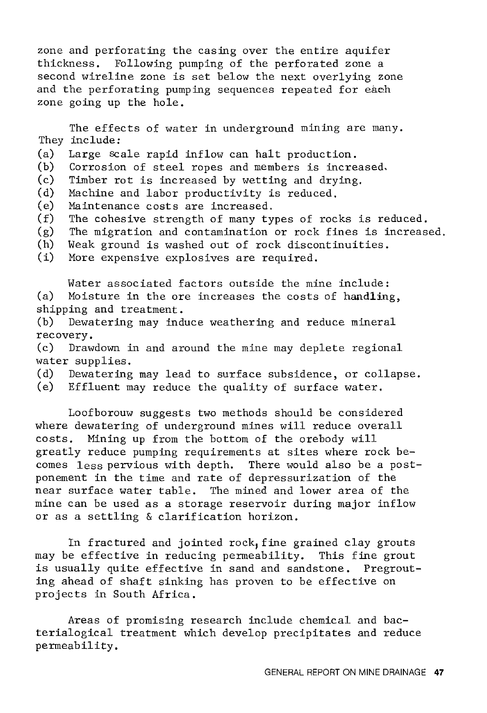zone and perforating the casing over the entire aquifer thickness. Following pumping of the perforated zone a second wireline zone is set below the next overlying zone and the perforating pumping sequences repeated for each zone going up the hole.

They include: The effects of water in underground mining are many.

- (a) Large scale rapid inflow can halt production.
- (b) Corrosion of steel ropes and members is increased.
- $(c)$ Timber rot is increased by wetting and drying.
- (d) Machine and labor productivity is reduced.
- (e) Maintenance costs are increased.
- $(f)$ The cohesive strength of many types of rocks is reduced.
- (g) The migration and contamination or rock fines is increased.
- (h) Weak ground is washed out of rock discontinuities.
- (i) More expensive explosives are required.

Water associated factors outside the mine include: (a) Moisture in the ore increases the costs of handling, shipping and treatment.

(b) Dewatering may induce weathering and reduce mineral recovery.

(c) Drawdown in and around the mine may deplete regional water supplies.<br>(d) Dewatering

- Dewatering may lead to surface subsidence, or collapse.
- (e) Effluent may reduce the quality of surface water.

Loofborouw suggests two methods should be considered where dewatering of underground mines will reduce overall costs. Mining up from the bottom of the orebody will greatly reduce pumping requirements at sites where rock becomes less pervious with depth. There would also be a postponement in the time and rate of depressurization of the near surface water table. The mined and lower area of the mine can be used as a storage reservoir during major inflow or as a settling & clarification horizon.

In fractured and jointed rock, fine grained clay grouts may be effective in reducing permeability. This fine grout is usually quite effective in sand and sandstone. Pregrouting ahead of shaft sinking has proven to be effective on projects in South Africa.

Areas of promising research include chemical and bacterialogical treatment which develop precipitates and reduce permeability.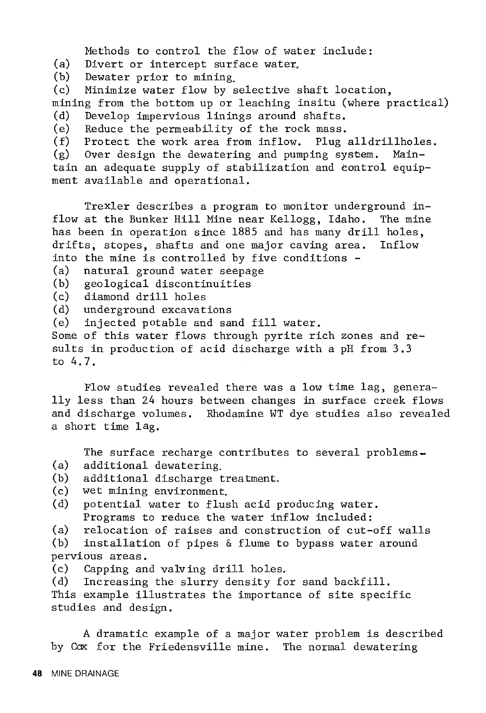Methods to control the flow of water include:

(a) Divert or intercept surface water,<br>(b) Dewater prior to mining

(b) Dewater prior to mining.<br>(c) Minimize water flow by s

Minimize water flow by selective shaft location, mining from the bottom up or leaching insitu (where practical)<br>(d) Develop impervious linings around shafts.

(d) Develop impervious linings around shafts.

(e) Reduce the permeability of the rock mass.<br>(f) Protect the work area from inflow. Plug Protect the work area from inflow. Plug alldrillholes.<br>Over design the dewatering and pumping system. Main-

 $(g)$  Over design the dewatering and pumping system. tain an adequate supply of stabilization and control equipment available and operational.

Trexler describes a program to monitor underground inflow at the Bunker Hill Mine near Kellogg, Idaho. The mine has been in operation since 1885 and has many drill holes, drifts, stopes, shafts and one major caving area. Inflow into the mine is controlled by five conditions -

(a) natural ground water seepage

(b) geological discontinuities

- (c) diamond drill holes
- (d) underground excavations

(e) injected potable and sand fill water.

Some of this water flows through pyrite rich zones and results in production of acid discharge with a pH from 3.3 to 4.7.

Flow studies revealed there was a low time lag, generally less than 24 hours between changes in surface creek flows and discharge volumes. Rhodamine WT dye studies also revealed a short time lag.

The surface recharge contributes to several problems-

- (a) additional dewatering,
- additional discharge treatment.
- (c) wet mining environment.
- (d) potential water to flush acid producing water. Programs to reduce the water inflow included:

(a) relocation of raises and construction of cut-off walls<br>(b) installation of pipes & flume to bypass water around

installation of pipes  $\&$  flume to bypass water around pervious areas.

(c) Capping and valving drill holes.

(d) Increasing the slurry density for sand backfill. This example illustrates the importance of site specific studies and design.

A dramatic example of a major water problem is described by Cox for the Friedensville mine. The normal dewatering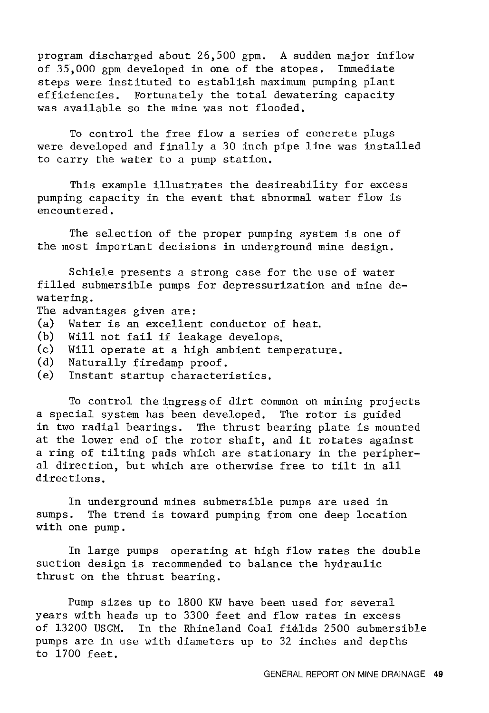program discharged about 26,500 gpm. A sudden major inflow of 35,000 gpm developed in one of the stopes. Immediate steps were instituted to establish maximum pumping plant efficiencies. Fortunately the total dewatering capacity was available so the mine was not flooded.

To control the free flow a series of concrete plugs were developed and finally a 30 inch pipe line was installed to carry the water to a pump station.

This example illustrates the desireability for excess pumping capacity in the event that abnormal water flow is encountered.

The selection of the proper pumping system is one of the most important decisions in underground mine design.

Schiele presents a strong case for the use of water filled submersible pumps for depressurization and mine dewatering.

The advantages given are:

- (a) Water is an excellent conductor of heat.
- (b) Will not fail if leakage develops.
- (c) Will operate at a high ambient temperature.
- (d) Naturally firedamp proof.
- (e) Instant startup characteristics.

To control the ingress of dirt common on mining projects a special system has been developed. The rotor is guided in two radial bearings. The thrust bearing plate is mounted at the lower end of the rotor shaft, and it rotates against a ring of tilting pads which are stationary in the peripheral direction, but which are otherwise free to tilt in all directions.

In underground mines submersible pumps are used in sumps. The trend is toward pumping from one deep location with one pump.

In large pumps operating at high flow rates the double suction design is recommended to balance the hydraulic thrust on the thrust bearing.

Pump sizes up to 1800 KW have been used for several years with heads up to 3300 feet and flow rates in excess of 13200 USGM. In the Rhineland Coal fialds 2500 submersible pumps are in use with diameters up to 32 inches and depths to 1700 feet.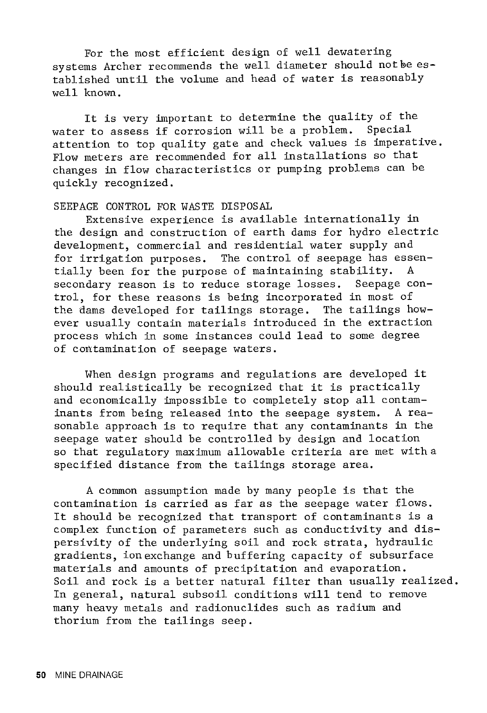For the most efficient design of well dewatering systems Archer recommends the well diameter should not be established until the volume and head of water is reasonably well known.

It is very important to determine the quality of the<br>the assess if corrosion will be a problem. Special water to assess if corrosion will be a problem. attention to top quality gate and check values is imperative. Flow meters are recommended for all installations so that changes in flow characteristics or pumping problems can be quickly recognized.

### SEEPAGE CONTROL FOR WASTE DISPOSAL

Extensive experience is available internationally in the design and construction of earth dams for hydro electric development, commercial and residential water supply and for irrigation purposes. The control of seepage has essentially been for the purpose of maintaining stability. A secondary reason is to reduce storage losses. Seepage control, for these reasons is being incorporated in most of the dams developed for tailings storage. The tailings however usually contain materials introduced in the extraction process which in some instances could lead to some degree of contamination of seepage waters.

When design programs and regulations are developed it should realistically be recognized that it is practically and economically impossible to completely stop all contam-<br>inants from being released into the seepage system. A reainants from being released into the seepage system. sonable approach is to require that any contaminants in the seepage water should be controlled by design and location so that regulatory maximum allowable criteria are met with a specified distance from the tailings storage area.

A common assumption made by many people is that the contamination is carried as far as the seepage water flows. It should be recognized that transport of contaminants is a complex function of parameters such as conductivity and dispersivity of the underlying soil and rock strata, hydraulic gradients, ion exchange and buffering capacity of subsurface materials and amounts of precipitation and evaporation. Soil and rock is a better natural filter than usually realized. In general, natural subsoil conditions will tend to remove many heavy metals and radionuclides such as radium and thorium from the tailings seep.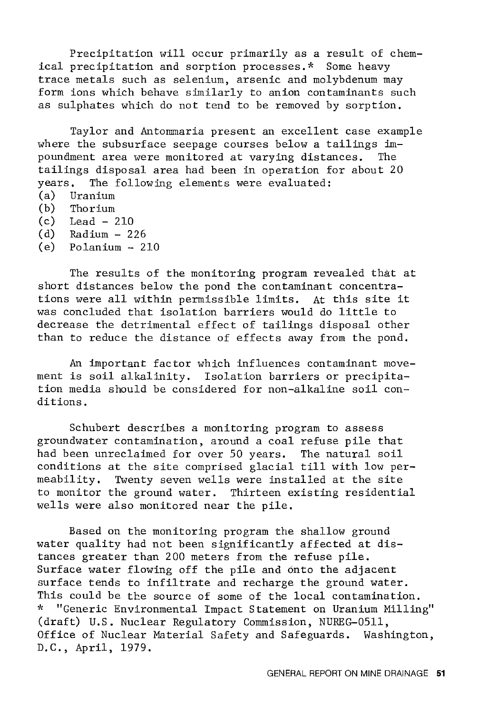Precipitation will occur primarily as a result of chemical precipitation and sorption processes.\* Some heavy trace metals such as selenium, arsenic and molybdenum may form ions which behave similarly to anion contaminants such as sulphates which do not tend to be removed by sorption.

Taylor and Antommaria present an excellent case example where the subsurface seepage courses below a tailings impoundment area were monitored at varying distances. The tailings disposal area had been in operation for about 20 vears. The following elements were evaluated: The following elements were evaluated:

- (a) Uranium
- (b) Thorium
- (c) Lead 210
- (d) Radium 226
- $(e)$  Polanium  $-210$

The results of the monitoring program revealed that at short distances below the pond the contaminant concentrations were all within permissible limits. At this site it was concluded that isolation barriers would do little to decrease the detrimental effect of tailings disposal other than to reduce the distance of effects away from the pond.

An important factor which influences contaminant movement is soil alkalinity. Isolation barriers or precipitation media should be considered for non-alkaline soil conditions.

Schubert describes a monitoring program to assess groundwater contamination, around a coal refuse pile that had been unreclaimed for over 50 years. The natural soil conditions at the site comprised glacial till with low per-Twenty seven wells were installed at the site to monitor the ground water. Thirteen existing residential wells were also monitored near the pile.

Based on the monitoring program the shallow ground water quality had not been significantly affected at distances greater than 200 meters from the refuse pile. Surface water flowing off the pile and onto the adjacent surface tends to infiltrate and recharge the ground water. This could be the source of some of the local contamination. \* "Generic Environmental Impact Statement on Uranium Milling" (draft) U.S. Nuclear Regulatory Commission, NUREG-0511, Office of Nuclear Material Safety and Safeguards. Washington, D.C., April, 1979.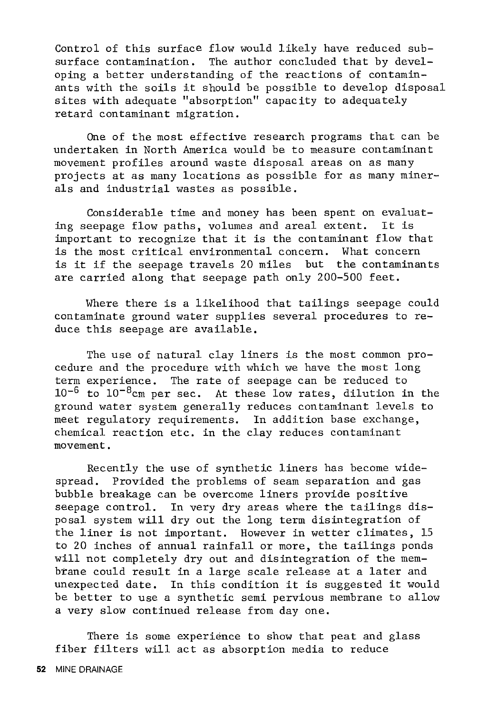Control of this surface flow would likely have reduced sub-<br>surface contamination. The author concluded that by devel-The author concluded that by developing a better understanding of the reactions of contaminants with the soils it should be possible to develop disposal sites with adequate "absorption" capacity to adequately retard contaminant migration.

One of the most effective research programs that can be undertaken in North America would be to measure contaminant movement profiles around waste disposal areas on as many projects at as many locations as possible for as many minerals and industrial wastes as possible.

Considerable time and money has been spent on evaluating seepage flow paths, volumes and areal extent. It is important to recognize that it is the contaminant flow that is the most critical environmental concern. What concern is it if the seepage travels 20 miles but the contaminants are carried along that seepage path only 200-500 feet.

Where there is a likelihood that tailings seepage could contaminate ground water supplies several procedures to reduce this seepage are available.

The use of natural clay liners is the most common procedure and the procedure with which we have the most long term experience. The rate of seepage can be reduced to  $10^{-6}$  to  $10^{-8}$ cm per sec. At these low rates, dilution in the ground water system generally reduces contaminant levels to meet regulatory requirements. In addition base exchange, chemical reaction etc. in the clay reduces contaminant movement.

Recently the use of synthetic liners has become widespread. Provided the problems of seam separation and gas bubble breakage can be overcome liners provide positive seepage control. In very dry areas where the tailings disposal system will dry out the long term disintegration of the liner is not important. However in wetter climates, 15 to 20 inches of annual rainfall or more, the tailings ponds will not completely dry out and disintegration of the membrane could result in a large scale release at a later and unexpected date. In this condition it is suggested it would be better to use a synthetic semi pervious membrane to allow a very slow continued release from day one.

There is some experience to show that peat and glass fiber filters will act as absorption media to reduce